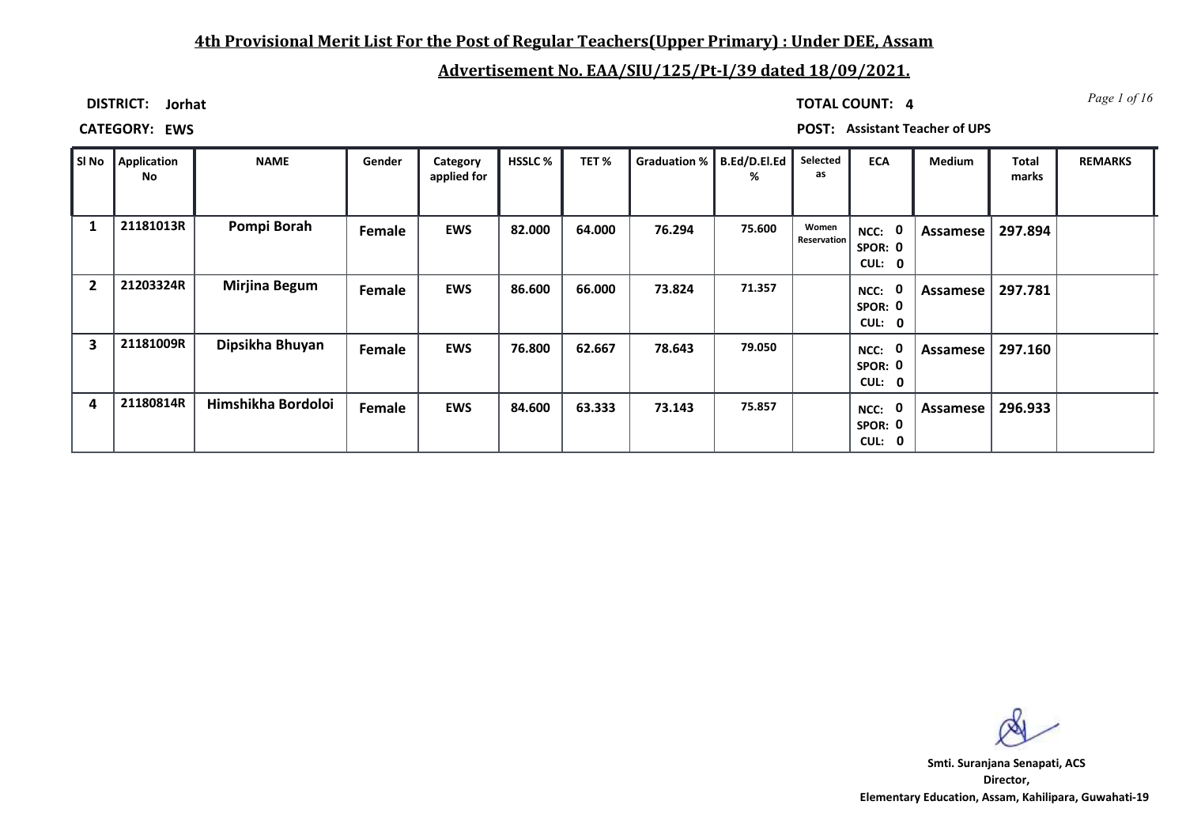# **4th Provisional Merit List For the Post of Regular Teachers(Upper Primary) : Under DEE, Assam**

# **Advertisement No. EAA/SIU/125/Pt-I/39 dated 18/09/2021.**

**DISTRICT: Jorhat**

*Page 1 of 16* **TOTAL COUNT: 4**

**CATEGORY: EWS POST: Assistant Teacher of UPS**

| SI No                   | <b>Application</b><br>No | <b>NAME</b>          | Gender | Category<br>applied for | <b>HSSLC %</b> | TET%   | Graduation % | B.Ed/D.El.Ed<br>% | Selected<br>as       | <b>ECA</b>                                       | Medium   | Total<br>marks | <b>REMARKS</b> |
|-------------------------|--------------------------|----------------------|--------|-------------------------|----------------|--------|--------------|-------------------|----------------------|--------------------------------------------------|----------|----------------|----------------|
| 1                       | 21181013R                | Pompi Borah          | Female | <b>EWS</b>              | 82.000         | 64.000 | 76.294       | 75.600            | Women<br>Reservation | NCC: 0<br>SPOR: 0<br><b>CUL:</b><br>$\mathbf{0}$ | Assamese | 297.894        |                |
| $\overline{2}$          | 21203324R                | <b>Mirjina Begum</b> | Female | <b>EWS</b>              | 86.600         | 66.000 | 73.824       | 71.357            |                      | - 0<br>NCC:<br>SPOR: 0<br>CUL: 0                 | Assamese | 297.781        |                |
| $\overline{\mathbf{3}}$ | 21181009R                | Dipsikha Bhuyan      | Female | <b>EWS</b>              | 76.800         | 62.667 | 78.643       | 79.050            |                      | 0<br>NCC:<br>SPOR: 0<br>CUL: 0                   | Assamese | 297.160        |                |
| 4                       | 21180814R                | Himshikha Bordoloi   | Female | <b>EWS</b>              | 84.600         | 63.333 | 73.143       | 75.857            |                      | 0<br>NCC:<br>SPOR: 0<br><b>CUL:</b><br>- 0       | Assamese | 296.933        |                |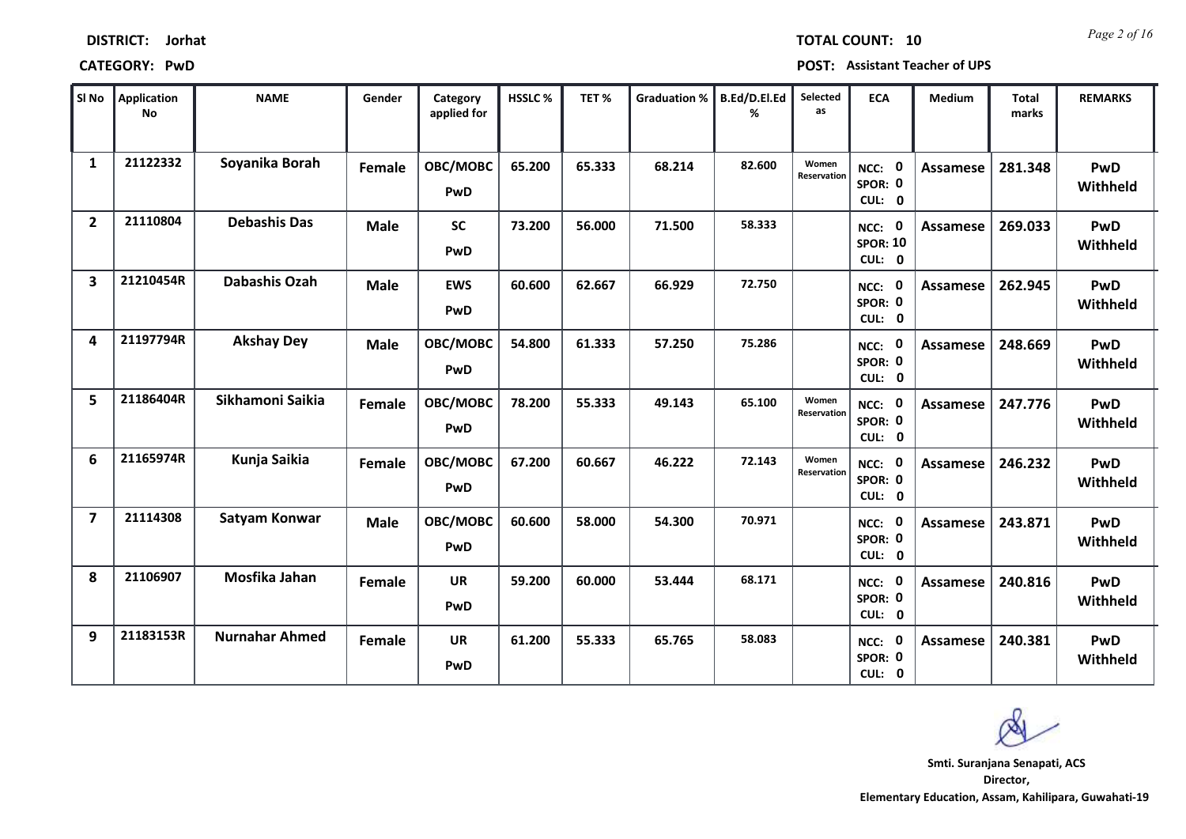| SI No                   | <b>Application</b><br><b>No</b> | <b>NAME</b>           | Gender      | Category<br>applied for | <b>HSSLC%</b> | TET%   | <b>Graduation %</b> | B.Ed/D.El.Ed<br>% | Selected<br>as       | <b>ECA</b>                          | <b>Medium</b>   | <b>Total</b><br>marks | <b>REMARKS</b>  |
|-------------------------|---------------------------------|-----------------------|-------------|-------------------------|---------------|--------|---------------------|-------------------|----------------------|-------------------------------------|-----------------|-----------------------|-----------------|
| $\mathbf{1}$            | 21122332                        | Soyanika Borah        | Female      | OBC/MOBC<br>PwD         | 65.200        | 65.333 | 68.214              | 82.600            | Women<br>Reservation | NCC: 0<br>SPOR: 0<br>CUL: 0         | <b>Assamese</b> | 281.348               | PwD<br>Withheld |
| $\overline{2}$          | 21110804                        | <b>Debashis Das</b>   | <b>Male</b> | <b>SC</b><br>PwD        | 73.200        | 56.000 | 71.500              | 58.333            |                      | NCC: 0<br><b>SPOR: 10</b><br>CUL: 0 | Assamese        | 269.033               | PwD<br>Withheld |
| $\overline{\mathbf{3}}$ | 21210454R                       | Dabashis Ozah         | <b>Male</b> | <b>EWS</b><br>PwD       | 60.600        | 62.667 | 66.929              | 72.750            |                      | NCC: 0<br>SPOR: 0<br>CUL: 0         | <b>Assamese</b> | 262.945               | PwD<br>Withheld |
| 4                       | 21197794R                       | <b>Akshay Dey</b>     | <b>Male</b> | OBC/MOBC<br>PwD         | 54.800        | 61.333 | 57.250              | 75.286            |                      | NCC: 0<br>SPOR: 0<br>CUL: 0         | Assamese        | 248.669               | PwD<br>Withheld |
| 5.                      | 21186404R                       | Sikhamoni Saikia      | Female      | OBC/MOBC<br><b>PwD</b>  | 78.200        | 55.333 | 49.143              | 65.100            | Women<br>Reservation | NCC: 0<br>SPOR: 0<br>CUL: 0         | <b>Assamese</b> | 247.776               | PwD<br>Withheld |
| 6                       | 21165974R                       | Kunja Saikia          | Female      | OBC/MOBC<br>PwD         | 67.200        | 60.667 | 46.222              | 72.143            | Women<br>Reservation | NCC: 0<br>SPOR: 0<br>CUL: 0         | <b>Assamese</b> | 246.232               | PwD<br>Withheld |
| $\overline{7}$          | 21114308                        | Satyam Konwar         | Male        | OBC/MOBC<br>PwD         | 60.600        | 58.000 | 54.300              | 70.971            |                      | NCC: 0<br>SPOR: 0<br>CUL: 0         | Assamese        | 243.871               | PwD<br>Withheld |
| 8                       | 21106907                        | Mosfika Jahan         | Female      | <b>UR</b><br>PwD        | 59.200        | 60.000 | 53.444              | 68.171            |                      | NCC: 0<br>SPOR: 0<br>CUL: 0         | Assamese        | 240.816               | PwD<br>Withheld |
| 9                       | 21183153R                       | <b>Nurnahar Ahmed</b> | Female      | <b>UR</b><br>PwD        | 61.200        | 55.333 | 65.765              | 58.083            |                      | 0<br>NCC:<br>SPOR: 0<br>CUL: 0      | <b>Assamese</b> | 240.381               | PwD<br>Withheld |

**CATEGORY: PwD POST: Assistant Teacher of UPS**

**Director, Elementary Education, Assam, Kahilipara, Guwahati-19 Smti. Suranjana Senapati, ACS**

*Page 2 of 16* **TOTAL COUNT: 10**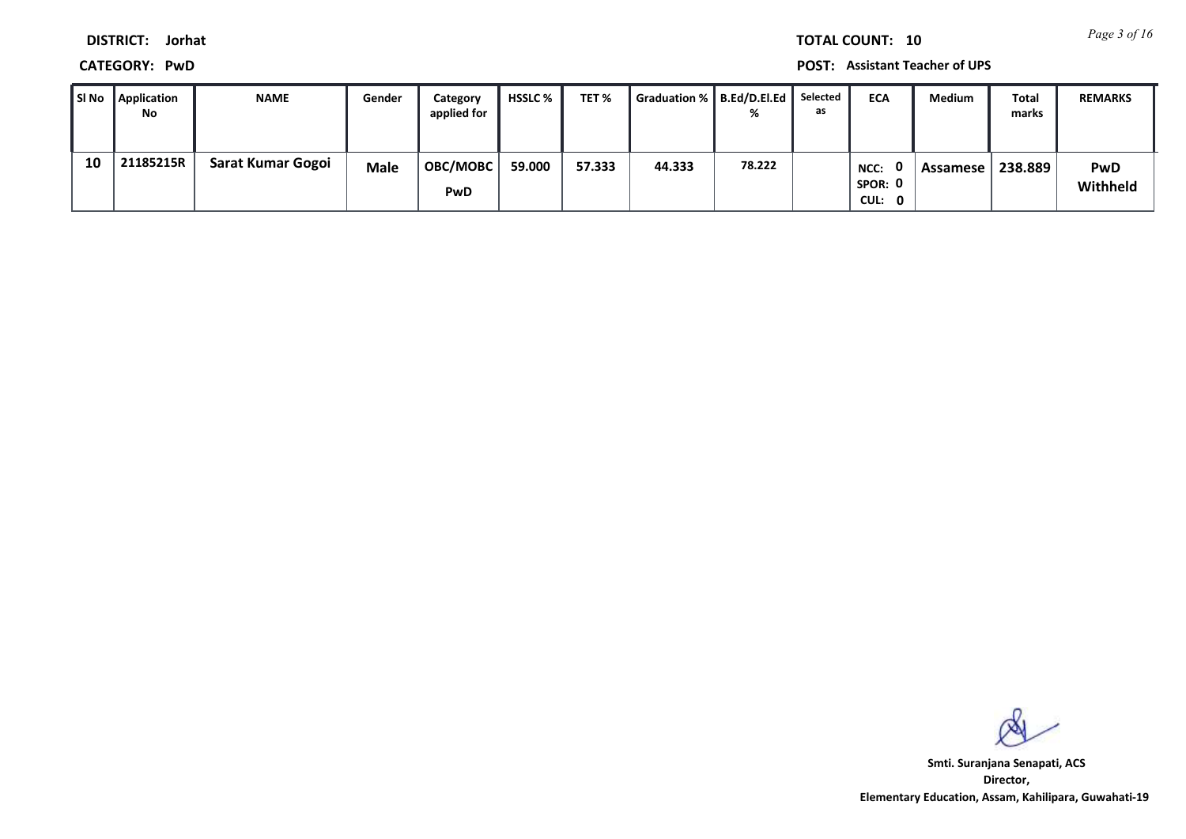*Page 3 of 16* **TOTAL COUNT: 10**

**DISTRICT: Jorhat**

**CATEGORY: PwD POST: Assistant Teacher of UPS**

|    | SI No Application<br>No | <b>NAME</b>       | Gender      | Category<br>applied for | <b>HSSLC</b> % | TET %  | Graduation %   B.Ed/D.El.Ed | %      | Selected<br>as | <b>ECA</b>                       | <b>Medium</b> | Total<br>marks | <b>REMARKS</b>         |
|----|-------------------------|-------------------|-------------|-------------------------|----------------|--------|-----------------------------|--------|----------------|----------------------------------|---------------|----------------|------------------------|
| 10 | 21185215R               | Sarat Kumar Gogoi | <b>Male</b> | <b>OBC/MOBC</b><br>PwD  | 59.000         | 57.333 | 44.333                      | 78.222 |                | . റ<br>NCC:<br>SPOR: 0<br>CUL: 0 | Assamese      | 238.889        | <b>PwD</b><br>Withheld |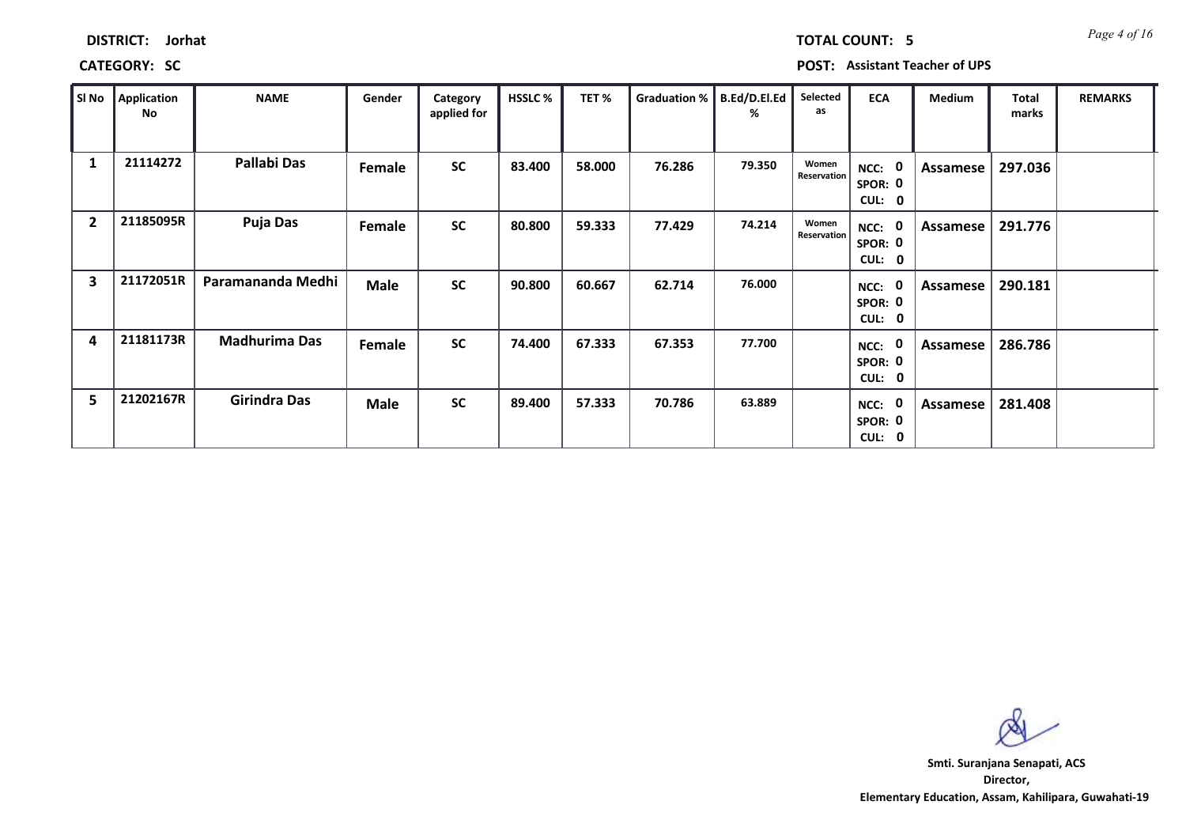| SI No                   | Application<br>No | <b>NAME</b>          | Gender        | Category<br>applied for | HSSLC% | TET%   | Graduation % | B.Ed/D.El.Ed<br>% | Selected<br>as       | <b>ECA</b>                                          | Medium   | Total<br>marks | <b>REMARKS</b> |
|-------------------------|-------------------|----------------------|---------------|-------------------------|--------|--------|--------------|-------------------|----------------------|-----------------------------------------------------|----------|----------------|----------------|
| $\mathbf{1}$            | 21114272          | Pallabi Das          | <b>Female</b> | <b>SC</b>               | 83.400 | 58.000 | 76.286       | 79.350            | Women<br>Reservation | - 0<br>NCC:<br>SPOR: 0<br><b>CUL:</b><br>0          | Assamese | 297.036        |                |
| $\overline{2}$          | 21185095R         | Puja Das             | <b>Female</b> | <b>SC</b>               | 80.800 | 59.333 | 77.429       | 74.214            | Women<br>Reservation | - 0<br>NCC:<br>SPOR: 0<br><b>CUL:</b><br>0          | Assamese | 291.776        |                |
| $\overline{\mathbf{3}}$ | 21172051R         | Paramananda Medhi    | <b>Male</b>   | <b>SC</b>               | 90.800 | 60.667 | 62.714       | 76.000            |                      | 0<br>NCC:<br>SPOR: 0<br><b>CUL:</b><br>$\mathbf{0}$ | Assamese | 290.181        |                |
| 4                       | 21181173R         | <b>Madhurima Das</b> | Female        | <b>SC</b>               | 74.400 | 67.333 | 67.353       | 77.700            |                      | 0<br>NCC:<br>SPOR: 0<br>CUL: 0                      | Assamese | 286.786        |                |
| 5                       | 21202167R         | <b>Girindra Das</b>  | <b>Male</b>   | <b>SC</b>               | 89.400 | 57.333 | 70.786       | 63.889            |                      | 0<br>NCC:<br>SPOR: 0<br><b>CUL:</b><br>- 0          | Assamese | 281.408        |                |

# **CATEGORY: SC POST: Assistant Teacher of UPS**

**Director, Elementary Education, Assam, Kahilipara, Guwahati-19 Smti. Suranjana Senapati, ACS**

*Page 4 of 16* **TOTAL COUNT: 5**

**DISTRICT: Jorhat**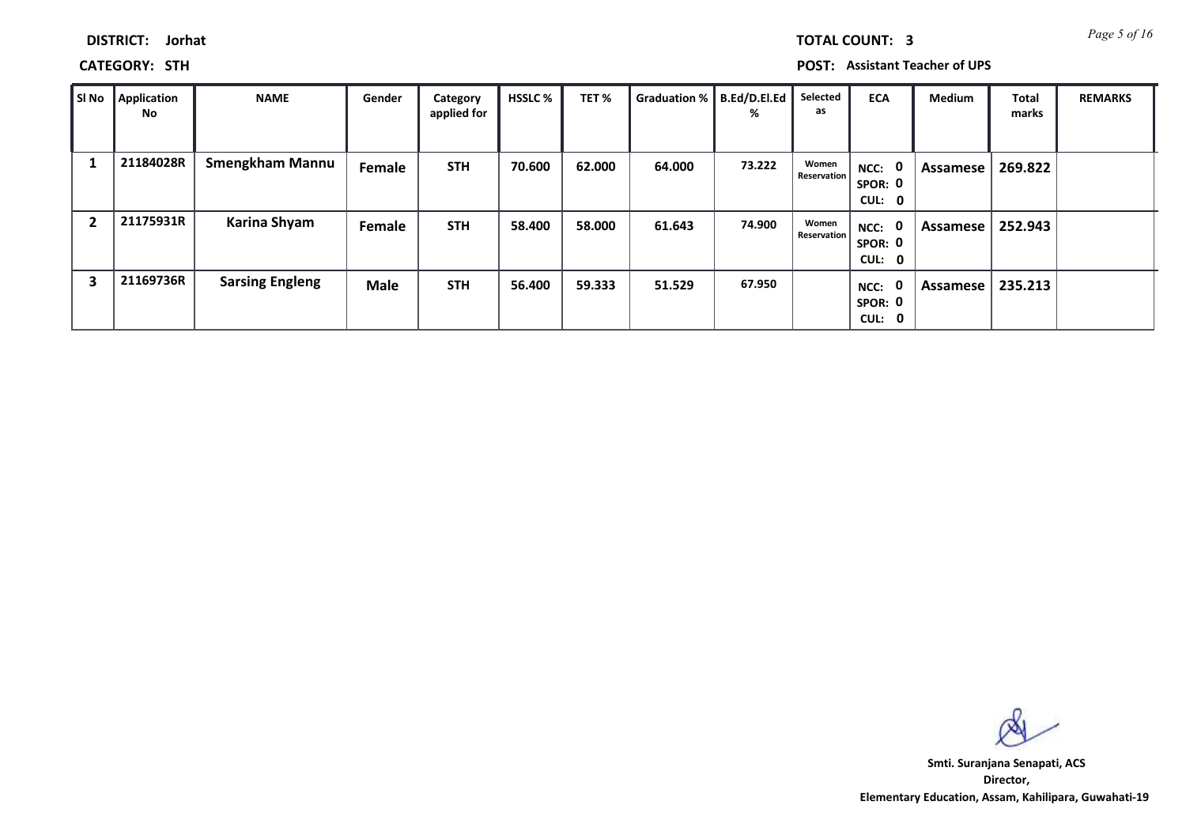| <b>TOTAL COUNT:</b> |  |  |
|---------------------|--|--|
|                     |  |  |
|                     |  |  |
|                     |  |  |

**CATEGORY: STH POST: Assistant Teacher of UPS**

| SI No | <b>Application</b><br>No | <b>NAME</b>            | Gender      | Category<br>applied for | <b>HSSLC %</b> | TET %  | Graduation %   B.Ed/D.El.Ed | %      | Selected<br>as       | <b>ECA</b>                  | <b>Medium</b> | <b>Total</b><br>marks | <b>REMARKS</b> |
|-------|--------------------------|------------------------|-------------|-------------------------|----------------|--------|-----------------------------|--------|----------------------|-----------------------------|---------------|-----------------------|----------------|
|       | 21184028R                | <b>Smengkham Mannu</b> | Female      | <b>STH</b>              | 70.600         | 62.000 | 64.000                      | 73.222 | Women<br>Reservation | NCC: 0<br>SPOR: 0<br>CUL: 0 | Assamese      | 269.822               |                |
| 2     | 21175931R                | Karina Shyam           | Female      | <b>STH</b>              | 58.400         | 58.000 | 61.643                      | 74.900 | Women<br>Reservation | NCC: 0<br>SPOR: 0<br>CUL: 0 | Assamese      | 252.943               |                |
| 3     | 21169736R                | <b>Sarsing Engleng</b> | <b>Male</b> | <b>STH</b>              | 56.400         | 59.333 | 51.529                      | 67.950 |                      | NCC:<br>SPOR: 0<br>CUL: 0   | Assamese      | 235.213               |                |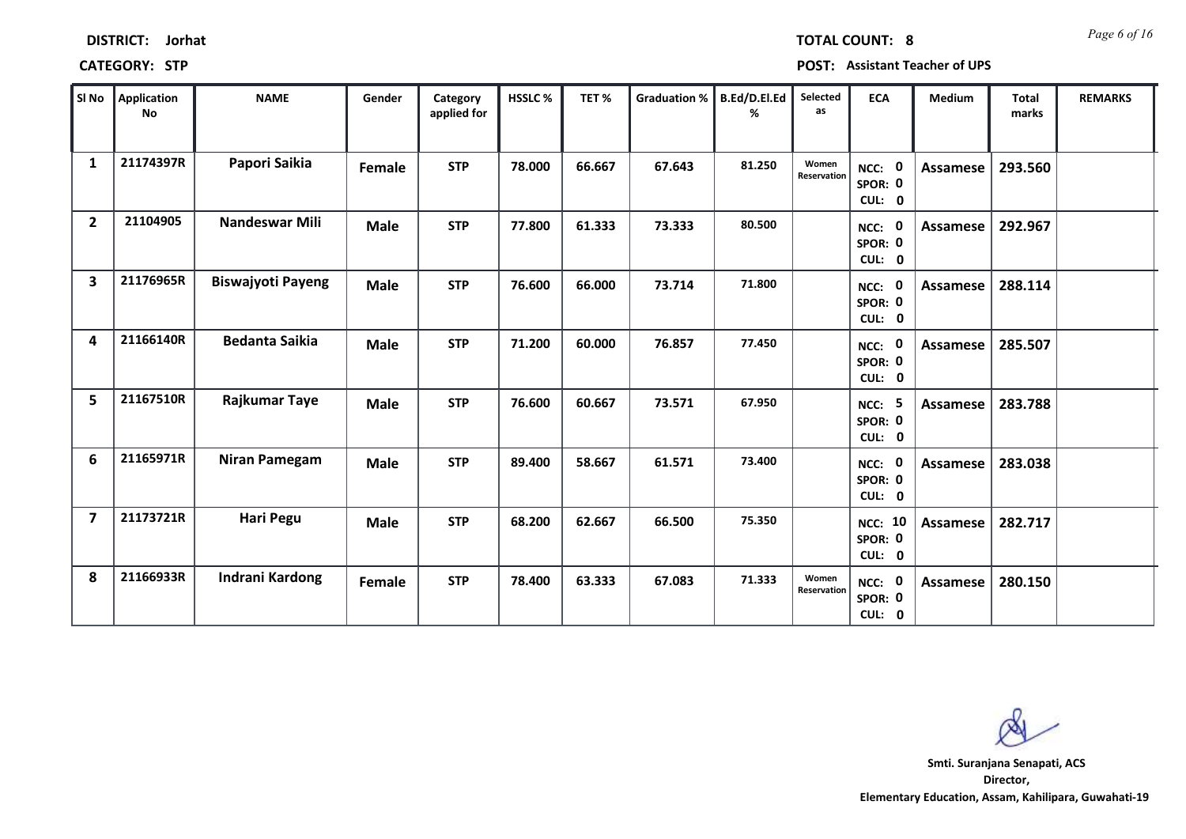| SI No                   | <b>Application</b><br>No | <b>NAME</b>              | Gender      | Category<br>applied for | HSSLC% | TET%   | <b>Graduation %</b> | B.Ed/D.El.Ed<br>% | Selected<br>as       | <b>ECA</b>                          | Medium   | Total<br>marks | <b>REMARKS</b> |
|-------------------------|--------------------------|--------------------------|-------------|-------------------------|--------|--------|---------------------|-------------------|----------------------|-------------------------------------|----------|----------------|----------------|
| $\mathbf{1}$            | 21174397R                | Papori Saikia            | Female      | <b>STP</b>              | 78.000 | 66.667 | 67.643              | 81.250            | Women<br>Reservation | NCC: 0<br>SPOR: 0<br>CUL: 0         | Assamese | 293.560        |                |
| $\overline{2}$          | 21104905                 | <b>Nandeswar Mili</b>    | <b>Male</b> | <b>STP</b>              | 77.800 | 61.333 | 73.333              | 80.500            |                      | NCC: 0<br>SPOR: 0<br>CUL: 0         | Assamese | 292.967        |                |
| $\overline{\mathbf{3}}$ | 21176965R                | <b>Biswajyoti Payeng</b> | <b>Male</b> | <b>STP</b>              | 76.600 | 66.000 | 73.714              | 71.800            |                      | NCC: 0<br>SPOR: 0<br>CUL: 0         | Assamese | 288.114        |                |
| 4                       | 21166140R                | <b>Bedanta Saikia</b>    | <b>Male</b> | <b>STP</b>              | 71.200 | 60.000 | 76.857              | 77.450            |                      | NCC: 0<br>SPOR: 0<br>CUL: 0         | Assamese | 285.507        |                |
| 5                       | 21167510R                | Rajkumar Taye            | <b>Male</b> | <b>STP</b>              | 76.600 | 60.667 | 73.571              | 67.950            |                      | 5<br>NCC:<br>SPOR: 0<br>CUL: 0      | Assamese | 283.788        |                |
| 6                       | 21165971R                | <b>Niran Pamegam</b>     | <b>Male</b> | <b>STP</b>              | 89.400 | 58.667 | 61.571              | 73.400            |                      | NCC: 0<br>SPOR: 0<br>CUL: 0         | Assamese | 283.038        |                |
| $\overline{7}$          | 21173721R                | Hari Pegu                | <b>Male</b> | <b>STP</b>              | 68.200 | 62.667 | 66.500              | 75.350            |                      | <b>NCC: 10</b><br>SPOR: 0<br>CUL: 0 | Assamese | 282.717        |                |
| 8                       | 21166933R                | Indrani Kardong          | Female      | <b>STP</b>              | 78.400 | 63.333 | 67.083              | 71.333            | Women<br>Reservation | NCC: 0<br>SPOR: 0<br>CUL: 0         | Assamese | 280.150        |                |

**DISTRICT: Jorhat**

**CATEGORY: STP POST: Assistant Teacher of UPS**

**Director, Elementary Education, Assam, Kahilipara, Guwahati-19 Smti. Suranjana Senapati, ACS**

т

*Page 6 of 16* **TOTAL COUNT: 8**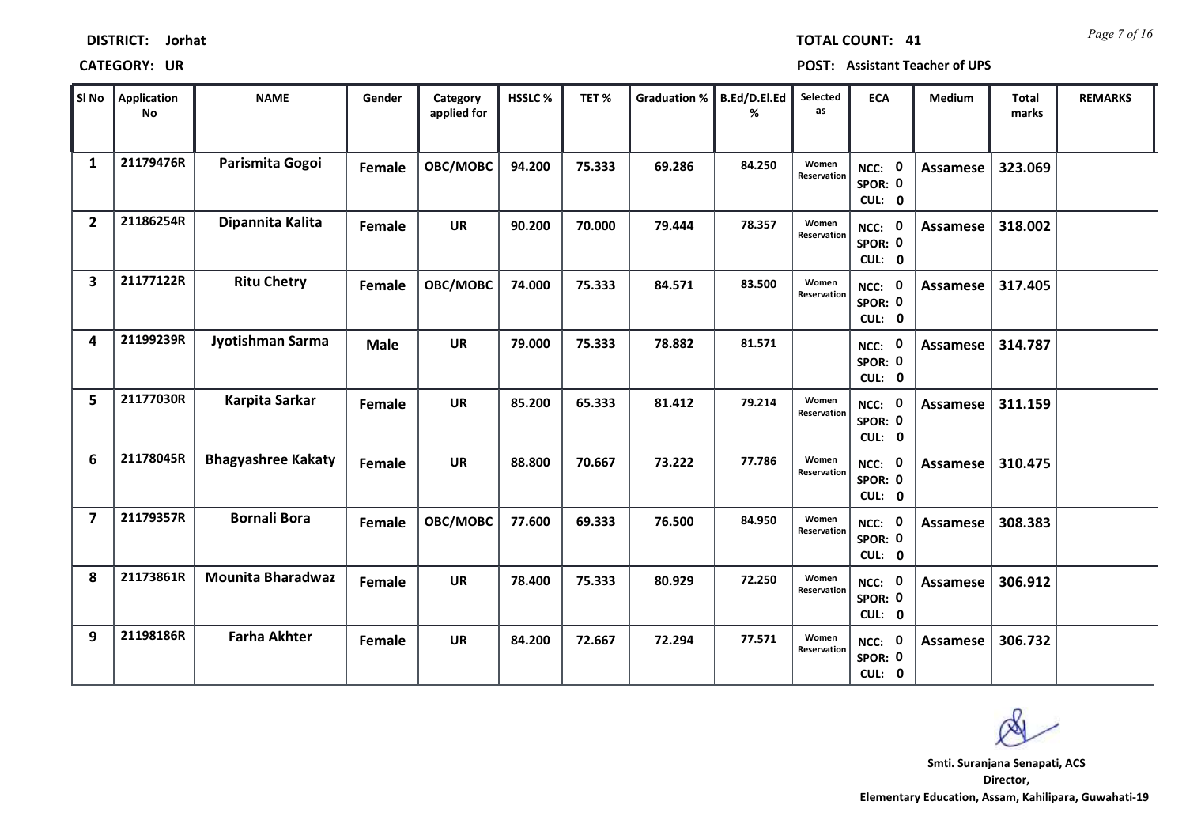| SI No                   | Application<br>No | <b>NAME</b>               | Gender      | Category<br>applied for | HSSLC% | TET%   | <b>Graduation %</b> | B.Ed/D.El.Ed<br>% | Selected<br>as              | <b>ECA</b>                         | <b>Medium</b>   | <b>Total</b><br>marks | <b>REMARKS</b> |
|-------------------------|-------------------|---------------------------|-------------|-------------------------|--------|--------|---------------------|-------------------|-----------------------------|------------------------------------|-----------------|-----------------------|----------------|
| $\mathbf{1}$            | 21179476R         | Parismita Gogoi           | Female      | OBC/MOBC                | 94.200 | 75.333 | 69.286              | 84.250            | Women<br>Reservation        | NCC: 0<br>SPOR: 0<br>CUL: 0        | Assamese        | 323.069               |                |
| $\overline{2}$          | 21186254R         | Dipannita Kalita          | Female      | <b>UR</b>               | 90.200 | 70.000 | 79.444              | 78.357            | Women<br><b>Reservation</b> | NCC: 0<br>SPOR: 0<br>CUL: 0        | Assamese        | 318.002               |                |
| $\overline{\mathbf{3}}$ | 21177122R         | <b>Ritu Chetry</b>        | Female      | OBC/MOBC                | 74.000 | 75.333 | 84.571              | 83.500            | Women<br>Reservation        | NCC: 0<br>SPOR: 0<br>CUL: 0        | <b>Assamese</b> | 317.405               |                |
| 4                       | 21199239R         | Jyotishman Sarma          | <b>Male</b> | <b>UR</b>               | 79.000 | 75.333 | 78.882              | 81.571            |                             | NCC: 0<br>SPOR: 0<br>CUL: 0        | <b>Assamese</b> | 314.787               |                |
| 5                       | 21177030R         | <b>Karpita Sarkar</b>     | Female      | <b>UR</b>               | 85.200 | 65.333 | 81.412              | 79.214            | Women<br>Reservation        | NCC: 0<br>SPOR: 0<br>CUL: 0        | <b>Assamese</b> | 311.159               |                |
| 6                       | 21178045R         | <b>Bhagyashree Kakaty</b> | Female      | <b>UR</b>               | 88.800 | 70.667 | 73.222              | 77.786            | Women<br>Reservation        | NCC: 0<br>SPOR: 0<br>CUL: 0        | <b>Assamese</b> | 310.475               |                |
| $\overline{ }$          | 21179357R         | <b>Bornali Bora</b>       | Female      | OBC/MOBC                | 77.600 | 69.333 | 76.500              | 84.950            | Women<br><b>Reservation</b> | NCC: 0<br>SPOR: 0<br>CUL: 0        | Assamese        | 308.383               |                |
| 8                       | 21173861R         | <b>Mounita Bharadwaz</b>  | Female      | <b>UR</b>               | 78.400 | 75.333 | 80.929              | 72.250            | Women<br>Reservation        | <b>NCC: 0</b><br>SPOR: 0<br>CUL: 0 | Assamese        | 306.912               |                |
| 9                       | 21198186R         | <b>Farha Akhter</b>       | Female      | <b>UR</b>               | 84.200 | 72.667 | 72.294              | 77.571            | Women<br>Reservation        | <b>NCC: 0</b><br>SPOR: 0<br>CUL: 0 | <b>Assamese</b> | 306.732               |                |

**CATEGORY: UR POST: Assistant Teacher of UPS**

**Director, Elementary Education, Assam, Kahilipara, Guwahati-19 Smti. Suranjana Senapati, ACS**

*Page 7 of 16* **TOTAL COUNT: 41**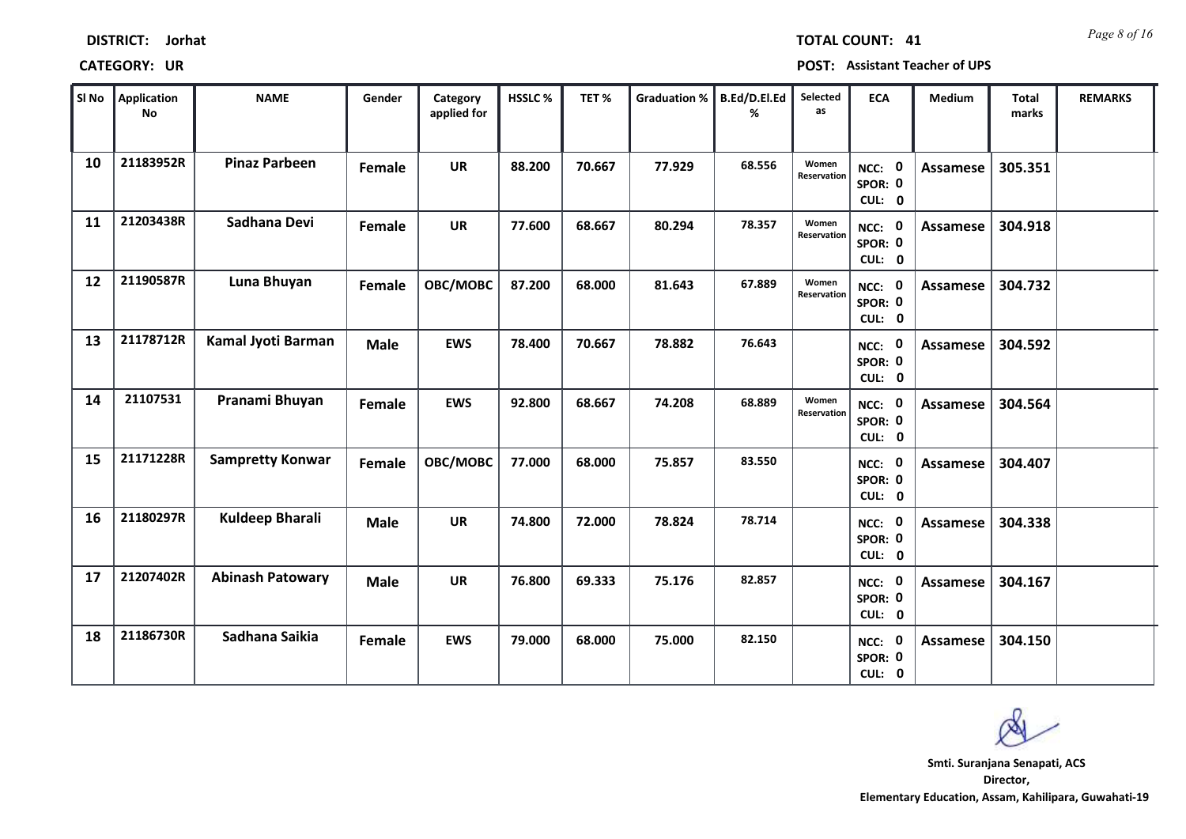| Sl No | <b>Application</b><br><b>No</b> | <b>NAME</b>             | Gender      | Category<br>applied for | HSSLC% | TET%   | <b>Graduation %</b> | B.Ed/D.El.Ed<br>% | Selected<br>as       | <b>ECA</b>                         | Medium          | <b>Total</b><br>marks | <b>REMARKS</b> |
|-------|---------------------------------|-------------------------|-------------|-------------------------|--------|--------|---------------------|-------------------|----------------------|------------------------------------|-----------------|-----------------------|----------------|
| 10    | 21183952R                       | <b>Pinaz Parbeen</b>    | Female      | <b>UR</b>               | 88.200 | 70.667 | 77.929              | 68.556            | Women<br>Reservation | NCC: 0<br>SPOR: 0<br>CUL: 0        | <b>Assamese</b> | 305.351               |                |
| 11    | 21203438R                       | Sadhana Devi            | Female      | <b>UR</b>               | 77.600 | 68.667 | 80.294              | 78.357            | Women<br>Reservation | NCC: 0<br>SPOR: 0<br>CUL: 0        | Assamese        | 304.918               |                |
| 12    | 21190587R                       | Luna Bhuyan             | Female      | OBC/MOBC                | 87.200 | 68.000 | 81.643              | 67.889            | Women<br>Reservation | NCC: 0<br>SPOR: 0<br>CUL: 0        | Assamese        | 304.732               |                |
| 13    | 21178712R                       | Kamal Jyoti Barman      | <b>Male</b> | <b>EWS</b>              | 78.400 | 70.667 | 78.882              | 76.643            |                      | NCC: 0<br>SPOR: 0<br>CUL: 0        | <b>Assamese</b> | 304.592               |                |
| 14    | 21107531                        | Pranami Bhuyan          | Female      | <b>EWS</b>              | 92.800 | 68.667 | 74.208              | 68.889            | Women<br>Reservation | NCC: 0<br>SPOR: 0<br>CUL: 0        | Assamese        | 304.564               |                |
| 15    | 21171228R                       | <b>Sampretty Konwar</b> | Female      | OBC/MOBC                | 77.000 | 68.000 | 75.857              | 83.550            |                      | NCC: 0<br>SPOR: 0<br>CUL: 0        | <b>Assamese</b> | 304.407               |                |
| 16    | 21180297R                       | Kuldeep Bharali         | <b>Male</b> | <b>UR</b>               | 74.800 | 72.000 | 78.824              | 78.714            |                      | NCC: 0<br>SPOR: 0<br>CUL: 0        | Assamese        | 304.338               |                |
| 17    | 21207402R                       | <b>Abinash Patowary</b> | <b>Male</b> | <b>UR</b>               | 76.800 | 69.333 | 75.176              | 82.857            |                      | <b>NCC: 0</b><br>SPOR: 0<br>CUL: 0 | <b>Assamese</b> | 304.167               |                |
| 18    | 21186730R                       | Sadhana Saikia          | Female      | <b>EWS</b>              | 79.000 | 68.000 | 75.000              | 82.150            |                      | 0<br>NCC:<br>SPOR: 0<br>CUL: 0     | <b>Assamese</b> | 304.150               |                |

# **CATEGORY: UR POST: Assistant Teacher of UPS**

**DISTRICT: Jorhat**

*Page 8 of 16* **TOTAL COUNT: 41**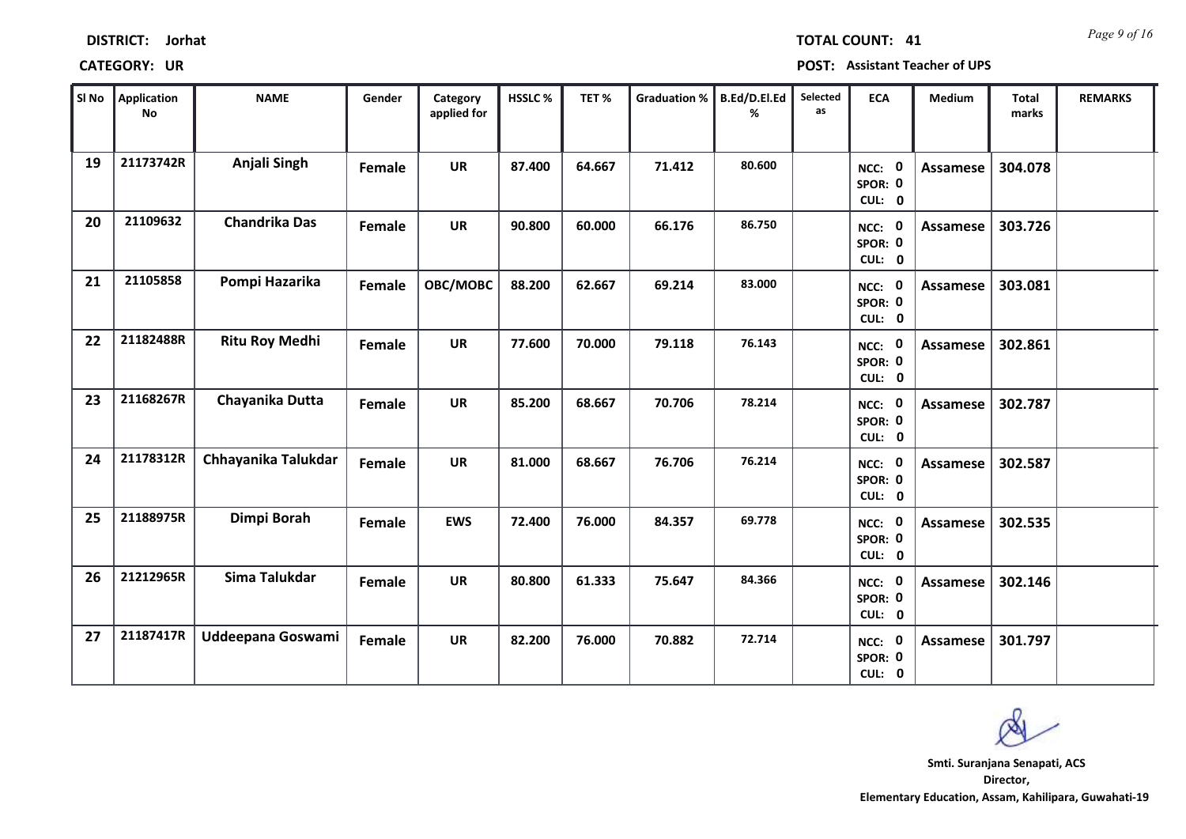| SI No | Application<br><b>No</b> | <b>NAME</b>           | Gender        | Category<br>applied for | HSSLC% | TET%   | <b>Graduation %</b> | B.Ed/D.El.Ed<br>% | Selected<br>as | <b>ECA</b>                               | Medium          | <b>Total</b><br>marks | <b>REMARKS</b> |
|-------|--------------------------|-----------------------|---------------|-------------------------|--------|--------|---------------------|-------------------|----------------|------------------------------------------|-----------------|-----------------------|----------------|
| 19    | 21173742R                | Anjali Singh          | Female        | <b>UR</b>               | 87.400 | 64.667 | 71.412              | 80.600            |                | NCC: 0<br>SPOR: 0<br>CUL: 0              | Assamese        | 304.078               |                |
| 20    | 21109632                 | <b>Chandrika Das</b>  | Female        | <b>UR</b>               | 90.800 | 60.000 | 66.176              | 86.750            |                | NCC: 0<br>SPOR: 0<br>CUL: 0              | Assamese        | 303.726               |                |
| 21    | 21105858                 | Pompi Hazarika        | <b>Female</b> | OBC/MOBC                | 88.200 | 62.667 | 69.214              | 83.000            |                | NCC: 0<br>SPOR: 0<br>CUL: 0              | <b>Assamese</b> | 303.081               |                |
| 22    | 21182488R                | <b>Ritu Roy Medhi</b> | Female        | <b>UR</b>               | 77.600 | 70.000 | 79.118              | 76.143            |                | NCC: 0<br>SPOR: 0<br>CUL: 0              | <b>Assamese</b> | 302.861               |                |
| 23    | 21168267R                | Chayanika Dutta       | Female        | <b>UR</b>               | 85.200 | 68.667 | 70.706              | 78.214            |                | NCC: 0<br>SPOR: 0<br>CUL: 0              | Assamese        | 302.787               |                |
| 24    | 21178312R                | Chhayanika Talukdar   | Female        | <b>UR</b>               | 81.000 | 68.667 | 76.706              | 76.214            |                | NCC: 0<br>SPOR: 0<br>CUL: 0              | Assamese        | 302.587               |                |
| 25    | 21188975R                | Dimpi Borah           | Female        | <b>EWS</b>              | 72.400 | 76.000 | 84.357              | 69.778            |                | $\mathbf 0$<br>NCC:<br>SPOR: 0<br>CUL: 0 | Assamese        | 302.535               |                |
| 26    | 21212965R                | Sima Talukdar         | Female        | <b>UR</b>               | 80.800 | 61.333 | 75.647              | 84.366            |                | <b>NCC: 0</b><br>SPOR: 0<br>CUL: 0       | <b>Assamese</b> | 302.146               |                |
| 27    | 21187417R                | Uddeepana Goswami     | Female        | <b>UR</b>               | 82.200 | 76.000 | 70.882              | 72.714            |                | <b>NCC: 0</b><br>SPOR: 0<br>CUL: 0       | <b>Assamese</b> | 301.797               |                |

**CATEGORY: UR POST: Assistant Teacher of UPS**

т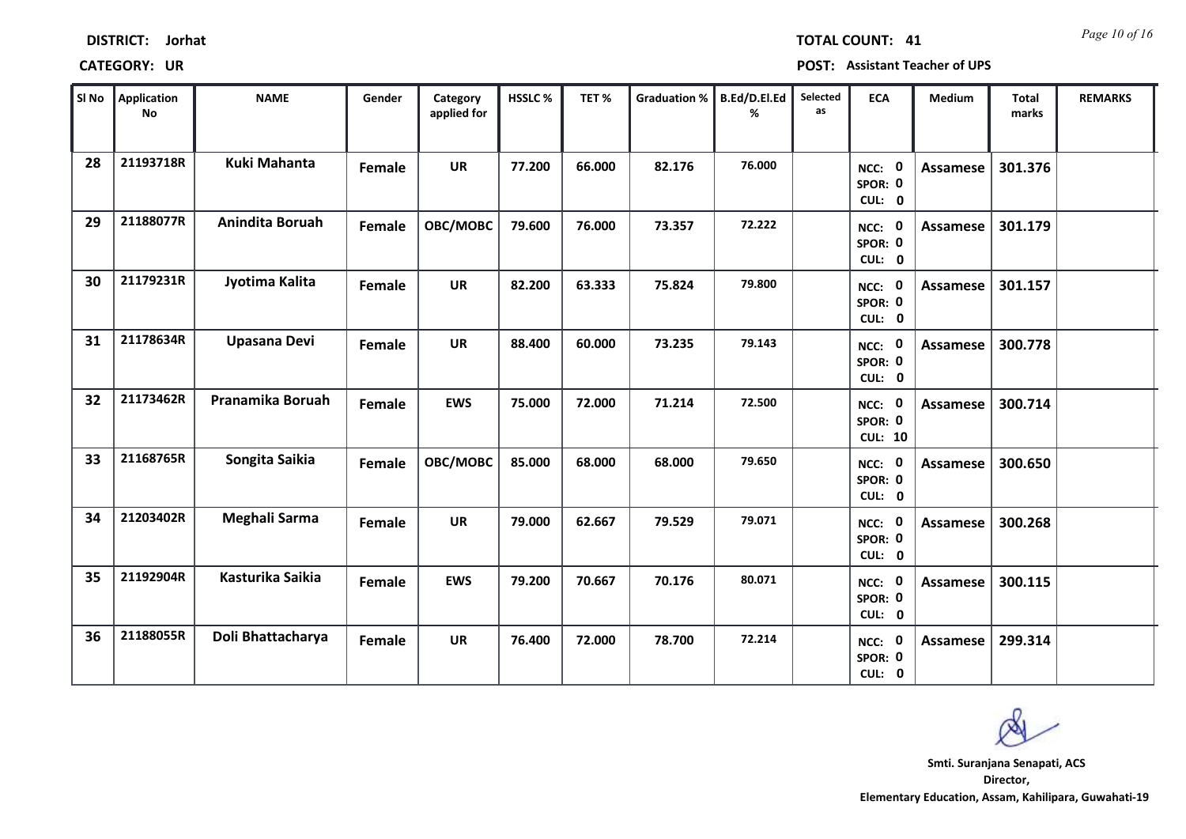| SI No | Application<br><b>No</b> | <b>NAME</b>         | Gender        | Category<br>applied for | HSSLC% | TET%   | <b>Graduation %</b> | B.Ed/D.El.Ed<br>% | Selected<br>as | <b>ECA</b>                          | Medium   | <b>Total</b><br>marks | <b>REMARKS</b> |
|-------|--------------------------|---------------------|---------------|-------------------------|--------|--------|---------------------|-------------------|----------------|-------------------------------------|----------|-----------------------|----------------|
| 28    | 21193718R                | <b>Kuki Mahanta</b> | Female        | <b>UR</b>               | 77.200 | 66.000 | 82.176              | 76.000            |                | NCC: 0<br>SPOR: 0<br>CUL: 0         | Assamese | 301.376               |                |
| 29    | 21188077R                | Anindita Boruah     | Female        | OBC/MOBC                | 79.600 | 76.000 | 73.357              | 72.222            |                | NCC: 0<br>SPOR: 0<br>CUL: 0         | Assamese | 301.179               |                |
| 30    | 21179231R                | Jyotima Kalita      | Female        | <b>UR</b>               | 82.200 | 63.333 | 75.824              | 79.800            |                | NCC: 0<br>SPOR: 0<br>CUL: 0         | Assamese | 301.157               |                |
| 31    | 21178634R                | Upasana Devi        | Female        | <b>UR</b>               | 88.400 | 60.000 | 73.235              | 79.143            |                | NCC: 0<br>SPOR: 0<br>CUL: 0         | Assamese | 300.778               |                |
| 32    | 21173462R                | Pranamika Boruah    | Female        | <b>EWS</b>              | 75.000 | 72.000 | 71.214              | 72.500            |                | NCC: 0<br>SPOR: 0<br><b>CUL: 10</b> | Assamese | 300.714               |                |
| 33    | 21168765R                | Songita Saikia      | <b>Female</b> | OBC/MOBC                | 85.000 | 68.000 | 68.000              | 79.650            |                | NCC: 0<br>SPOR: 0<br>CUL: 0         | Assamese | 300.650               |                |
| 34    | 21203402R                | Meghali Sarma       | Female        | <b>UR</b>               | 79.000 | 62.667 | 79.529              | 79.071            |                | NCC: 0<br>SPOR: 0<br>CUL: 0         | Assamese | 300.268               |                |
| 35    | 21192904R                | Kasturika Saikia    | Female        | <b>EWS</b>              | 79.200 | 70.667 | 70.176              | 80.071            |                | <b>NCC: 0</b><br>SPOR: 0<br>CUL: 0  | Assamese | 300.115               |                |
| 36    | 21188055R                | Doli Bhattacharya   | Female        | <b>UR</b>               | 76.400 | 72.000 | 78.700              | 72.214            |                | <b>NCC: 0</b><br>SPOR: 0<br>CUL: 0  | Assamese | 299.314               |                |

# **CATEGORY: UR POST: Assistant Teacher of UPS**

**DISTRICT: Jorhat**

*Page 10 of 16* **TOTAL COUNT: 41**

т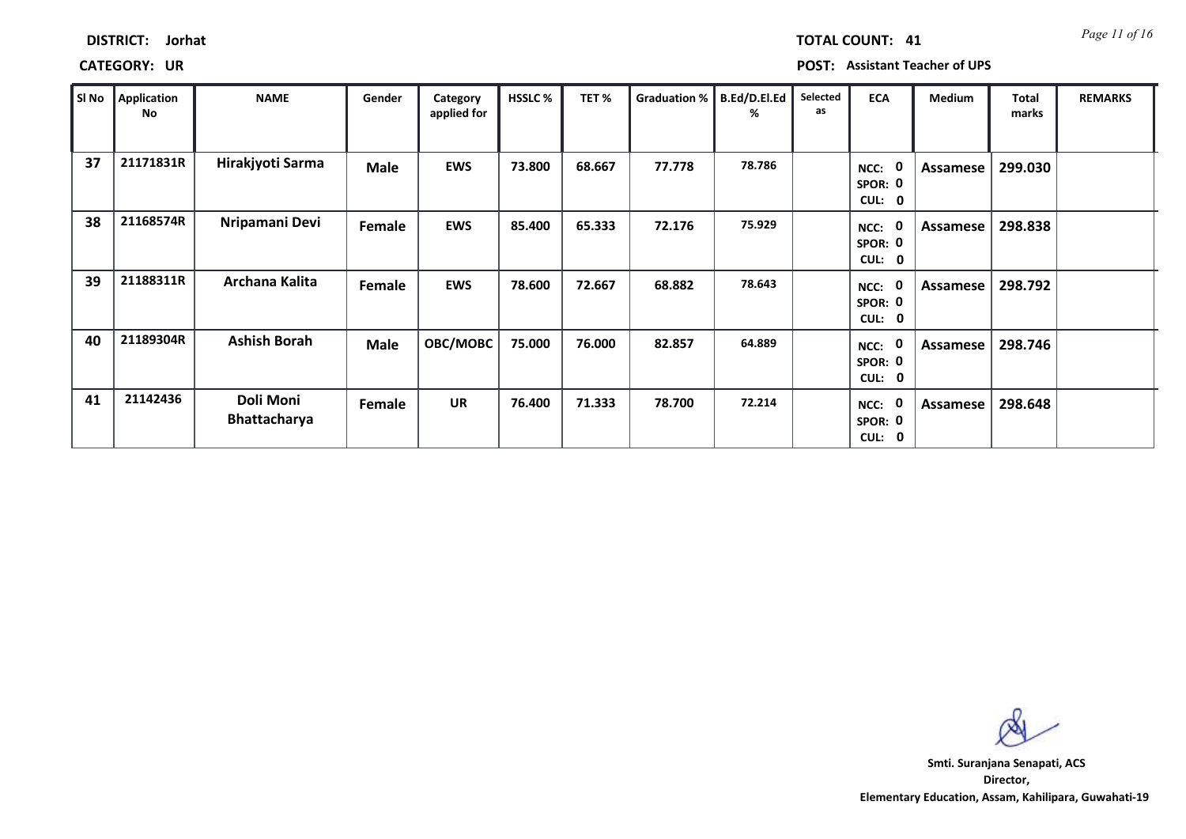|       | <b>CATEGORY: UR</b> |                                  |             |                         |        |        |              |                   |                |                                           | <b>POST:</b> Assistant Teacher of UPS |                       |                |
|-------|---------------------|----------------------------------|-------------|-------------------------|--------|--------|--------------|-------------------|----------------|-------------------------------------------|---------------------------------------|-----------------------|----------------|
| Sl No | Application<br>No.  | <b>NAME</b>                      | Gender      | Category<br>applied for | HSSLC% | TET%   | Graduation % | B.Ed/D.EI.Ed<br>% | Selected<br>as | <b>ECA</b>                                | Medium                                | <b>Total</b><br>marks | <b>REMARKS</b> |
| 37    | 21171831R           | Hirakjyoti Sarma                 | <b>Male</b> | <b>EWS</b>              | 73.800 | 68.667 | 77.778       | 78.786            |                | $\mathbf{0}$<br>NCC:<br>SPOR: 0<br>CUL: 0 | Assamese                              | 299.030               |                |
| 38    | 21168574R           | Nripamani Devi                   | Female      | <b>EWS</b>              | 85.400 | 65.333 | 72.176       | 75.929            |                | $\mathbf 0$<br>NCC:<br>SPOR: 0<br>CUL: 0  | Assamese                              | 298.838               |                |
| 39    | 21188311R           | Archana Kalita                   | Female      | <b>EWS</b>              | 78.600 | 72.667 | 68.882       | 78.643            |                | 0<br>NCC:<br>SPOR: 0<br>CUL: 0            | Assamese                              | 298.792               |                |
| 40    | 21189304R           | <b>Ashish Borah</b>              | <b>Male</b> | OBC/MOBC                | 75.000 | 76.000 | 82.857       | 64.889            |                | $\mathbf{0}$<br>NCC:<br>SPOR: 0<br>CUL: 0 | Assamese                              | 298.746               |                |
| 41    | 21142436            | Doli Moni<br><b>Bhattacharya</b> | Female      | <b>UR</b>               | 76.400 | 71.333 | 78.700       | 72.214            |                | $\mathbf 0$<br>NCC:<br>SPOR: 0<br>CUL: 0  | Assamese                              | 298.648               |                |

**Director, Elementary Education, Assam, Kahilipara, Guwahati-19 Smti. Suranjana Senapati, ACS**

**DISTRICT: Jorhat**

*Page 11 of 16* **TOTAL COUNT: 41**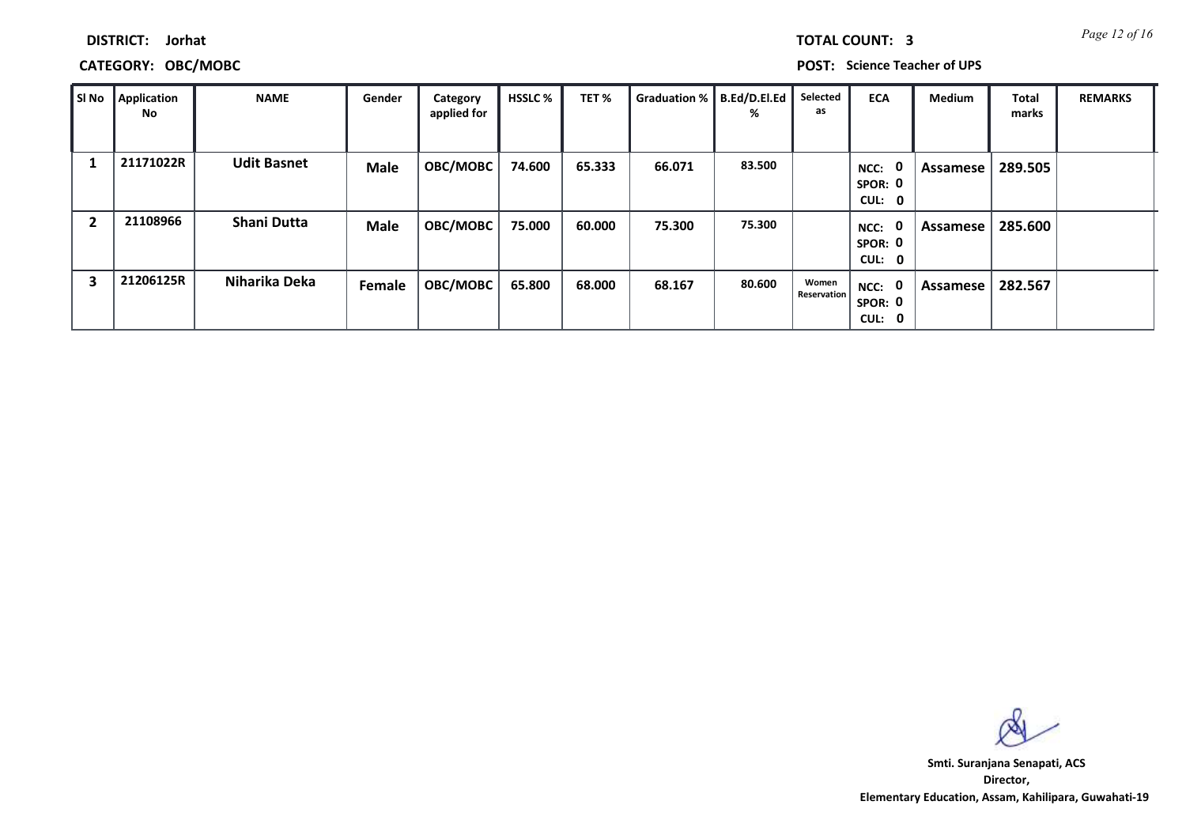| <b>TOTAL COUNT:</b> |
|---------------------|
|                     |

# **CATEGORY: OBC/MOBC POST: Science Teacher of UPS**

| SI No          | Application<br>No | <b>NAME</b>        | Gender      | Category<br>applied for | <b>HSSLC %</b> | TET%   | Graduation %   B.Ed/D.El.Ed | %      | Selected<br>as       | <b>ECA</b>                       | <b>Medium</b> | <b>Total</b><br>marks | <b>REMARKS</b> |
|----------------|-------------------|--------------------|-------------|-------------------------|----------------|--------|-----------------------------|--------|----------------------|----------------------------------|---------------|-----------------------|----------------|
|                | 21171022R         | <b>Udit Basnet</b> | <b>Male</b> | <b>OBC/MOBC</b>         | 74.600         | 65.333 | 66.071                      | 83.500 |                      | - 0<br>NCC:<br>SPOR: 0<br>CUL: 0 | Assamese      | 289.505               |                |
| $\overline{2}$ | 21108966          | Shani Dutta        | <b>Male</b> | <b>OBC/MOBC</b>         | 75.000         | 60.000 | 75.300                      | 75.300 |                      | - 0<br>NCC:<br>SPOR: 0<br>CUL: 0 | Assamese      | 285.600               |                |
| З              | 21206125R         | Niharika Deka      | Female      | OBC/MOBC                | 65.800         | 68.000 | 68.167                      | 80.600 | Women<br>Reservation | NCC: 0<br>SPOR: 0<br>CUL: 0      | Assamese      | 282.567               |                |

**Director, Elementary Education, Assam, Kahilipara, Guwahati-19 Smti. Suranjana Senapati, ACS**

**3 Page 12 of 16**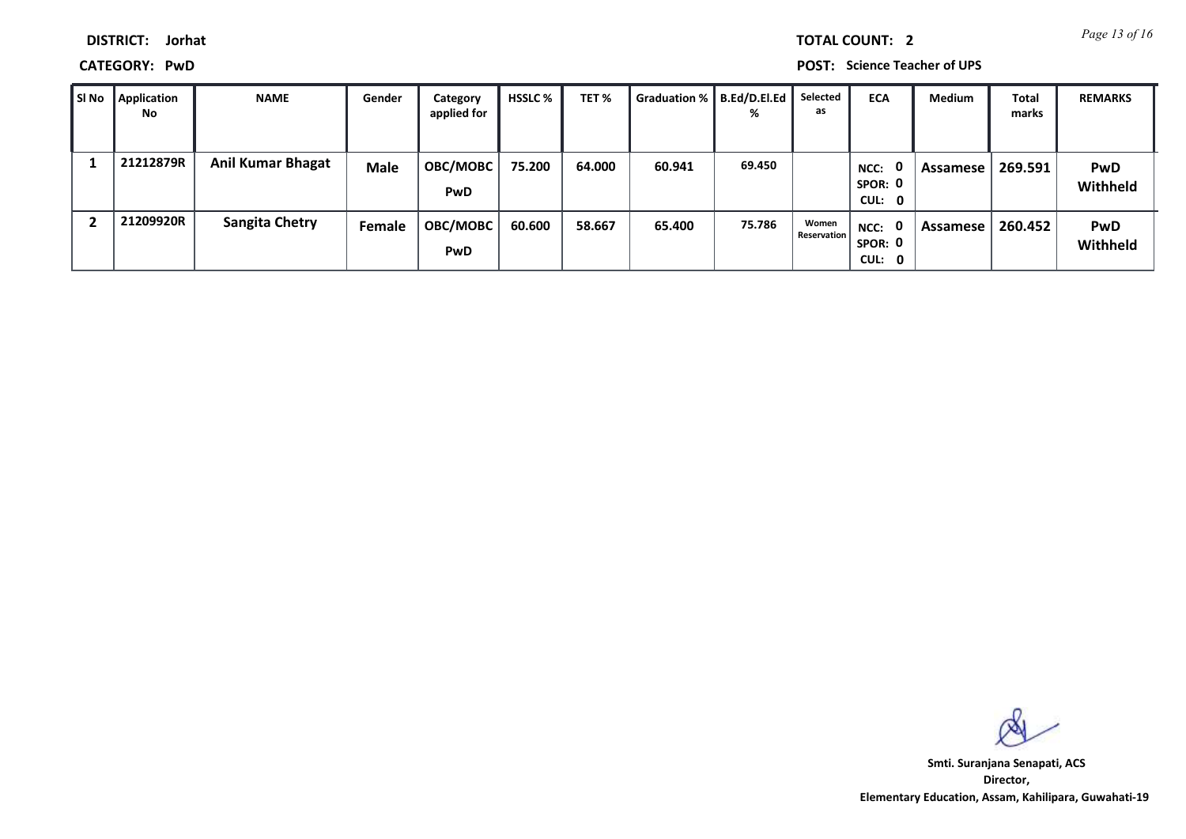*Page 13 of 16* **TOTAL COUNT: 2**

**DISTRICT: Jorhat**

**CATEGORY: PwD POST: Science Teacher of UPS**

| ∥ SI No | Application<br><b>No</b> | <b>NAME</b>              | Gender      | Category<br>applied for | <b>HSSLC</b> % | TET %  | <b>Graduation %</b> | B.Ed/D.El.Ed<br>℅ | Selected<br>as              | <b>ECA</b>                                | Medium   | <b>Total</b><br>marks | <b>REMARKS</b>         |
|---------|--------------------------|--------------------------|-------------|-------------------------|----------------|--------|---------------------|-------------------|-----------------------------|-------------------------------------------|----------|-----------------------|------------------------|
|         | 21212879R                | <b>Anil Kumar Bhagat</b> | <b>Male</b> | OBC/MOBC<br>PwD         | 75.200         | 64.000 | 60.941              | 69.450            |                             | $\mathbf{0}$<br>NCC:<br>SPOR: 0<br>CUL: 0 | Assamese | 269.591               | <b>PwD</b><br>Withheld |
|         | 21209920R                | Sangita Chetry           | Female      | OBC/MOBC<br>PwD         | 60.600         | 58.667 | 65.400              | 75.786            | Women<br><b>Reservation</b> | NCC: 0<br>SPOR: 0<br>CUL: 0               | Assamese | 260.452               | <b>PwD</b><br>Withheld |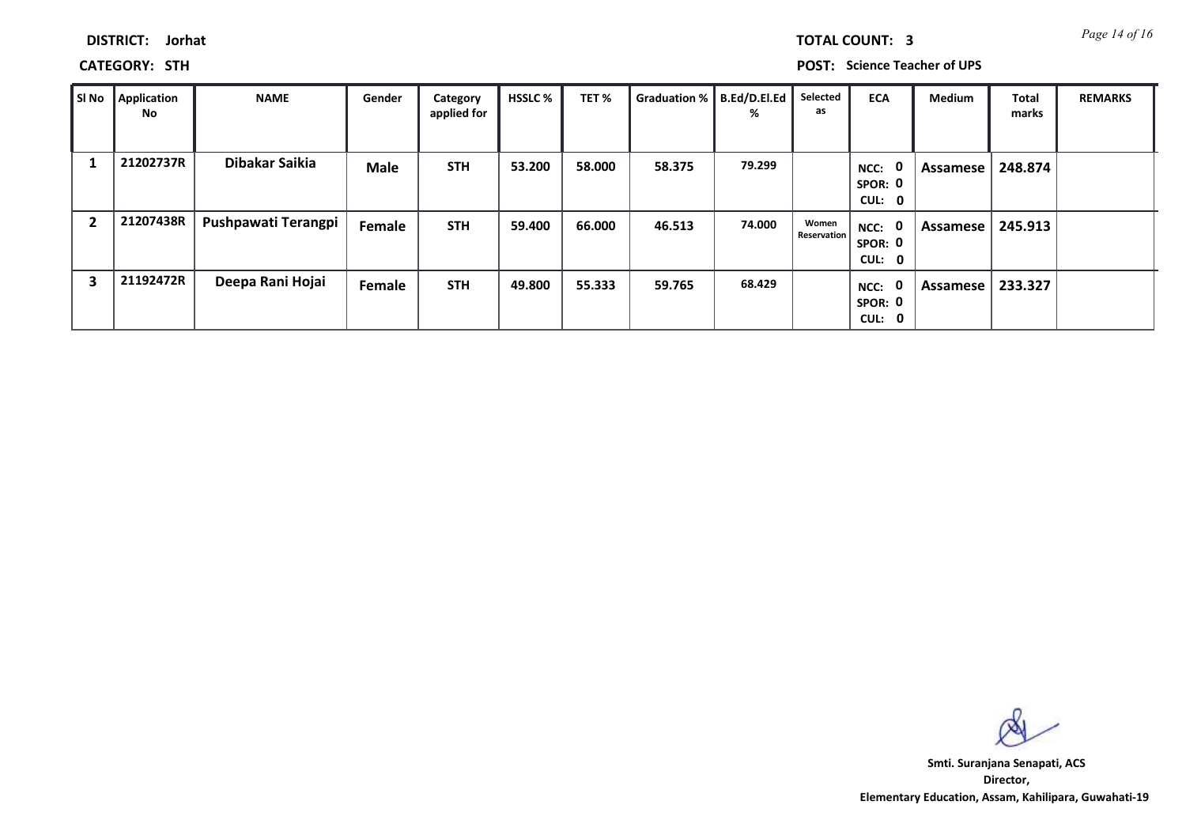|  |  | <b>TOTAL COUNT:</b> |  |  |  |
|--|--|---------------------|--|--|--|
|  |  |                     |  |  |  |

**CATEGORY: STH POST: Science Teacher of UPS**

| $\blacksquare$ SI No $\blacksquare$ | Application<br>No | NAME                | Gender      | Category<br>applied for | <b>HSSLC</b> % | TET%   | Graduation %   B.Ed/D.El.Ed | %      | Selected<br>as       | <b>ECA</b>                       | <b>Medium</b> | <b>Total</b><br>marks | <b>REMARKS</b> |
|-------------------------------------|-------------------|---------------------|-------------|-------------------------|----------------|--------|-----------------------------|--------|----------------------|----------------------------------|---------------|-----------------------|----------------|
|                                     | 21202737R         | Dibakar Saikia      | <b>Male</b> | <b>STH</b>              | 53.200         | 58.000 | 58.375                      | 79.299 |                      | - 0<br>NCC:<br>SPOR: 0<br>CUL: 0 | Assamese      | 248.874               |                |
| $\overline{2}$                      | 21207438R         | Pushpawati Terangpi | Female      | <b>STH</b>              | 59.400         | 66.000 | 46.513                      | 74.000 | Women<br>Reservation | NCC: 0<br>SPOR: 0<br>CUL: 0      | Assamese      | 245.913               |                |
| 3                                   | 21192472R         | Deepa Rani Hojai    | Female      | <b>STH</b>              | 49.800         | 55.333 | 59.765                      | 68.429 |                      | 0<br>NCC:<br>SPOR: 0<br>CUL: 0   | Assamese      | 233.327               |                |

**Director, Elementary Education, Assam, Kahilipara, Guwahati-19 Smti. Suranjana Senapati, ACS**

**3** *Page 14 of 16*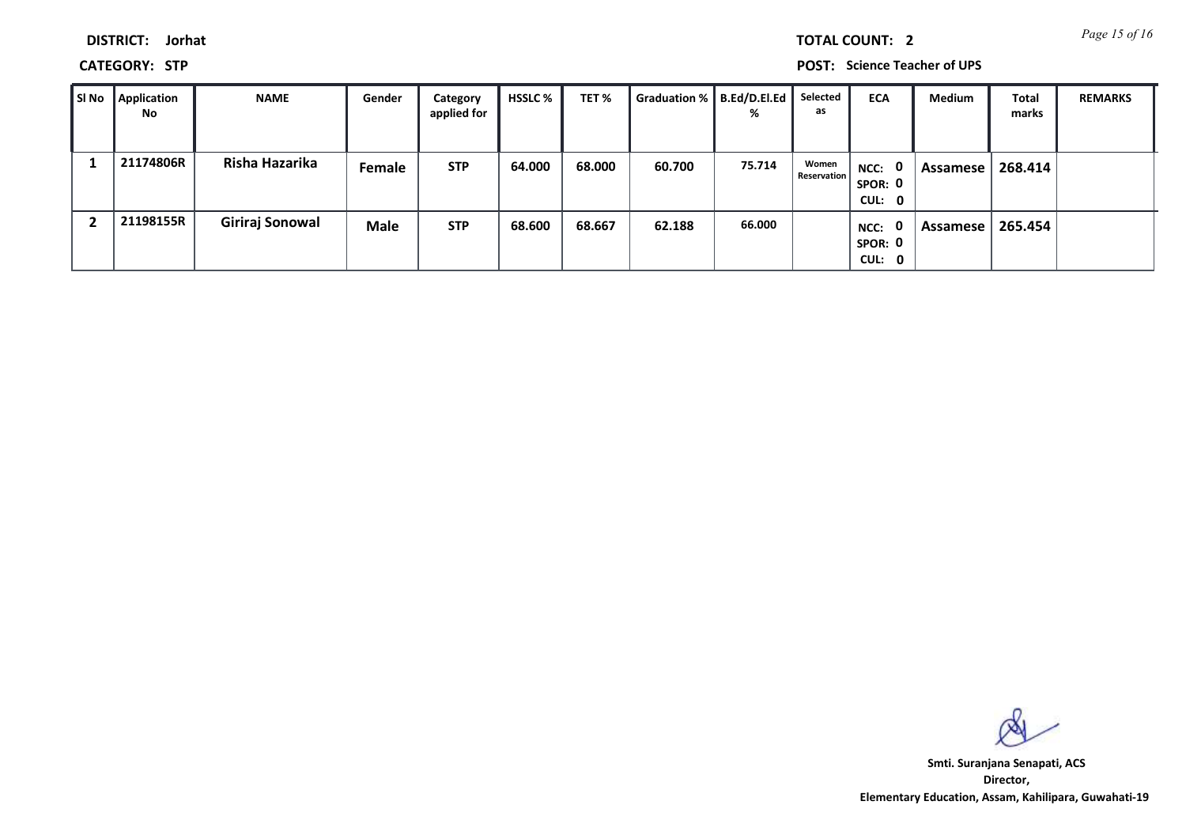*Page 15 of 16* **TOTAL COUNT: 2**

**DISTRICT: Jorhat**

**CATEGORY: STP POST: Science Teacher of UPS**

| SI No | <b>Application</b><br><b>No</b> | <b>NAME</b>     | Gender      | Category<br>applied for | HSSLC % | TET %  | Graduation %   B.Ed/D.El.Ed | %      | Selected<br>as              | <b>ECA</b>                                | Medium      | <b>Total</b><br>marks | <b>REMARKS</b> |
|-------|---------------------------------|-----------------|-------------|-------------------------|---------|--------|-----------------------------|--------|-----------------------------|-------------------------------------------|-------------|-----------------------|----------------|
|       | 21174806R                       | Risha Hazarika  | Female      | <b>STP</b>              | 64.000  | 68.000 | 60.700                      | 75.714 | Women<br><b>Reservation</b> | NCC: 0<br>SPOR: 0<br>CUL: 0               | ,Assamese ' | 268.414               |                |
|       | 21198155R                       | Giriraj Sonowal | <b>Male</b> | <b>STP</b>              | 68.600  | 68.667 | 62.188                      | 66.000 |                             | $\mathbf{0}$<br>NCC:<br>SPOR: 0<br>CUL: 0 | Assamese    | 265.454               |                |